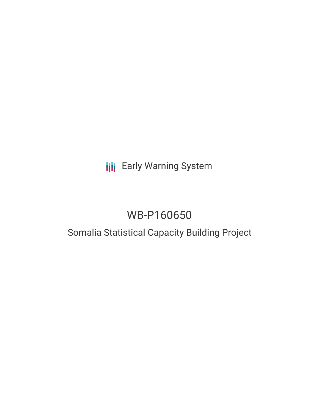## **III** Early Warning System

# WB-P160650

## Somalia Statistical Capacity Building Project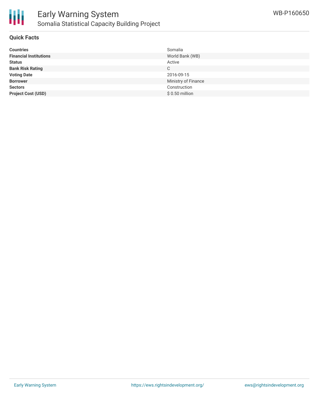

#### **Quick Facts**

| <b>Countries</b>              | Somalia             |
|-------------------------------|---------------------|
| <b>Financial Institutions</b> | World Bank (WB)     |
| <b>Status</b>                 | Active              |
| <b>Bank Risk Rating</b>       | C                   |
| <b>Voting Date</b>            | 2016-09-15          |
| <b>Borrower</b>               | Ministry of Finance |
| <b>Sectors</b>                | Construction        |
| <b>Project Cost (USD)</b>     | $$0.50$ million     |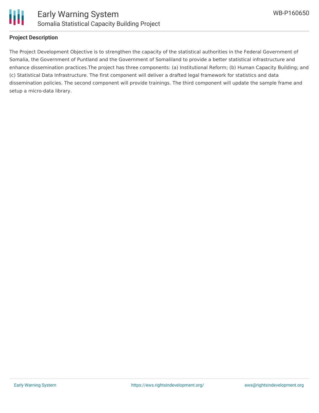

#### **Project Description**

The Project Development Objective is to strengthen the capacity of the statistical authorities in the Federal Government of Somalia, the Government of Puntland and the Government of Somaliland to provide a better statistical infrastructure and enhance dissemination practices.The project has three components: (a) Institutional Reform; (b) Human Capacity Building; and (c) Statistical Data Infrastructure. The first component will deliver a drafted legal framework for statistics and data dissemination policies. The second component will provide trainings. The third component will update the sample frame and setup a micro-data library.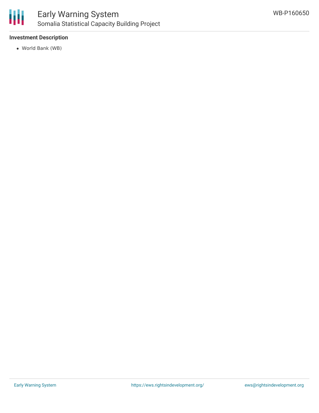

### Early Warning System Somalia Statistical Capacity Building Project

#### **Investment Description**

World Bank (WB)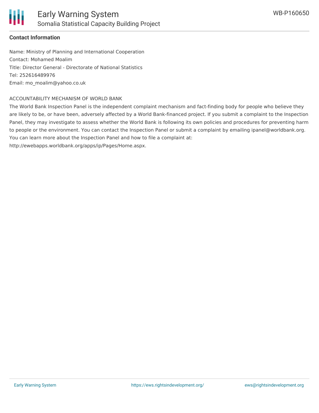

#### **Contact Information**

Name: Ministry of Planning and International Cooperation Contact: Mohamed Moalim Title: Director General - Directorate of National Statistics Tel: 252616489976 Email: mo\_moalim@yahoo.co.uk

#### ACCOUNTABILITY MECHANISM OF WORLD BANK

The World Bank Inspection Panel is the independent complaint mechanism and fact-finding body for people who believe they are likely to be, or have been, adversely affected by a World Bank-financed project. If you submit a complaint to the Inspection Panel, they may investigate to assess whether the World Bank is following its own policies and procedures for preventing harm to people or the environment. You can contact the Inspection Panel or submit a complaint by emailing ipanel@worldbank.org. You can learn more about the Inspection Panel and how to file a complaint at:

http://ewebapps.worldbank.org/apps/ip/Pages/Home.aspx.